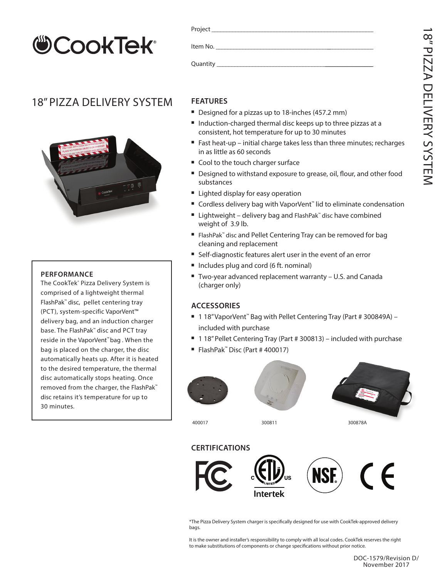# **COOKTEK®**

## 18" PIZZA DELIVERY SYSTEM



#### **PERFORMANCE**

The CookTek® Pizza Delivery System is comprised of a lightweight thermal FlashPak™ disc, pellet centering tray (PCT), system-specific VaporVent™ delivery bag, and an induction charger base. The FlashPak™ disc and PCT tray reside in the VaporVent™ bag . When the bag is placed on the charger, the disc automatically heats up. After it is heated to the desired temperature, the thermal disc automatically stops heating. Once removed from the charger, the FlashPak™ disc retains it's temperature for up to 30 minutes.

|            | Item No. In the state of the state of the state of the state of the state of the state of the state of the sta |  |  |
|------------|----------------------------------------------------------------------------------------------------------------|--|--|
| Quantity _ |                                                                                                                |  |  |

### **FEATURES**

- Designed for a pizzas up to 18-inches (457.2 mm)
- Induction-charged thermal disc keeps up to three pizzas at a consistent, hot temperature for up to 30 minutes
- Fast heat-up initial charge takes less than three minutes; recharges in as little as 60 seconds
- Cool to the touch charger surface
- Designed to withstand exposure to grease, oil, flour, and other food substances
- Lighted display for easy operation
- Cordless delivery bag with VaporVent<sup>™</sup> lid to eliminate condensation
- Lightweight delivery bag and FlashPak™ disc have combined weight of 3.9 lb.
- FlashPak™ disc and Pellet Centering Tray can be removed for bag cleaning and replacement
- Self-diagnostic features alert user in the event of an error
- Includes plug and cord (6 ft. nominal)
- Two-year advanced replacement warranty U.S. and Canada (charger only)

#### **ACCESSORIES**

- 1 18" Vapor Vent<sup>™</sup> Bag with Pellet Centering Tray (Part # 300849A) included with purchase
- $\blacksquare$  1 18" Pellet Centering Tray (Part # 300813) included with purchase
- <sup>n</sup> FlashPak™ Disc (Part # 400017)







400017 300811 300878A

#### **CERTIFICATIONS**



\*The Pizza Delivery System charger is specifically designed for use with CookTek-approved delivery bags.

It is the owner and installer's responsibility to comply with all local codes. CookTek reserves the right to make substitutions of components or change specifications without prior notice.

#### DOC-1579/Revision D/ November 2017